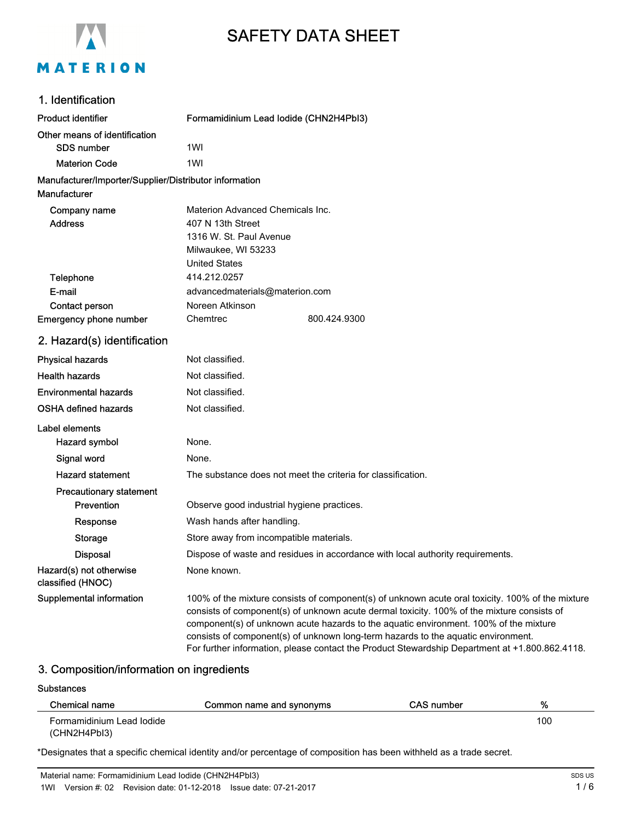

# SAFETY DATA SHEET

# 1. Identification

| <b>Product identifier</b>                                              | Formamidinium Lead Iodide (CHN2H4PbI3) |              |
|------------------------------------------------------------------------|----------------------------------------|--------------|
| Other means of identification<br><b>SDS number</b>                     | 1WI                                    |              |
| <b>Materion Code</b>                                                   | 1WI                                    |              |
| Manufacturer/Importer/Supplier/Distributor information<br>Manufacturer |                                        |              |
| Company name                                                           | Materion Advanced Chemicals Inc.       |              |
| <b>Address</b>                                                         | 407 N 13th Street                      |              |
|                                                                        | 1316 W. St. Paul Avenue                |              |
|                                                                        | Milwaukee, WI 53233                    |              |
|                                                                        | <b>United States</b>                   |              |
| Telephone                                                              | 414, 212, 0257                         |              |
| E-mail                                                                 | advancedmaterials@materion.com         |              |
| <b>Contact person</b>                                                  | Noreen Atkinson                        |              |
| Emergency phone number                                                 | Chemtrec                               | 800.424.9300 |
| 2. Hazard(s) identification                                            |                                        |              |
| <b>Physical hazards</b>                                                | Not classified.                        |              |
| <b>Health hazards</b>                                                  | Not classified.                        |              |

| <b>Environmental hazards</b>                 | Not classified.                                                                                                                                                                                                                                                                                                                                                                                                                                                                |
|----------------------------------------------|--------------------------------------------------------------------------------------------------------------------------------------------------------------------------------------------------------------------------------------------------------------------------------------------------------------------------------------------------------------------------------------------------------------------------------------------------------------------------------|
| <b>OSHA defined hazards</b>                  | Not classified.                                                                                                                                                                                                                                                                                                                                                                                                                                                                |
| Label elements                               |                                                                                                                                                                                                                                                                                                                                                                                                                                                                                |
| Hazard symbol                                | None.                                                                                                                                                                                                                                                                                                                                                                                                                                                                          |
| Signal word                                  | None.                                                                                                                                                                                                                                                                                                                                                                                                                                                                          |
| <b>Hazard statement</b>                      | The substance does not meet the criteria for classification.                                                                                                                                                                                                                                                                                                                                                                                                                   |
| <b>Precautionary statement</b>               |                                                                                                                                                                                                                                                                                                                                                                                                                                                                                |
| <b>Prevention</b>                            | Observe good industrial hygiene practices.                                                                                                                                                                                                                                                                                                                                                                                                                                     |
| Response                                     | Wash hands after handling.                                                                                                                                                                                                                                                                                                                                                                                                                                                     |
| <b>Storage</b>                               | Store away from incompatible materials.                                                                                                                                                                                                                                                                                                                                                                                                                                        |
| <b>Disposal</b>                              | Dispose of waste and residues in accordance with local authority requirements.                                                                                                                                                                                                                                                                                                                                                                                                 |
| Hazard(s) not otherwise<br>classified (HNOC) | None known.                                                                                                                                                                                                                                                                                                                                                                                                                                                                    |
| Supplemental information                     | 100% of the mixture consists of component(s) of unknown acute oral toxicity. 100% of the mixture<br>consists of component(s) of unknown acute dermal toxicity. 100% of the mixture consists of<br>component(s) of unknown acute hazards to the aquatic environment. 100% of the mixture<br>consists of component(s) of unknown long-term hazards to the aquatic environment.<br>For further information, please contact the Product Stewardship Department at +1.800.862.4118. |

# 3. Composition/information on ingredients

#### **Substances**

| Chemical name             | Common name and synonyms | CAS number | %   |
|---------------------------|--------------------------|------------|-----|
| Formamidinium Lead Iodide |                          |            | 100 |
| (CHN2H4PbI3)              |                          |            |     |

\*Designates that a specific chemical identity and/or percentage of composition has been withheld as a trade secret.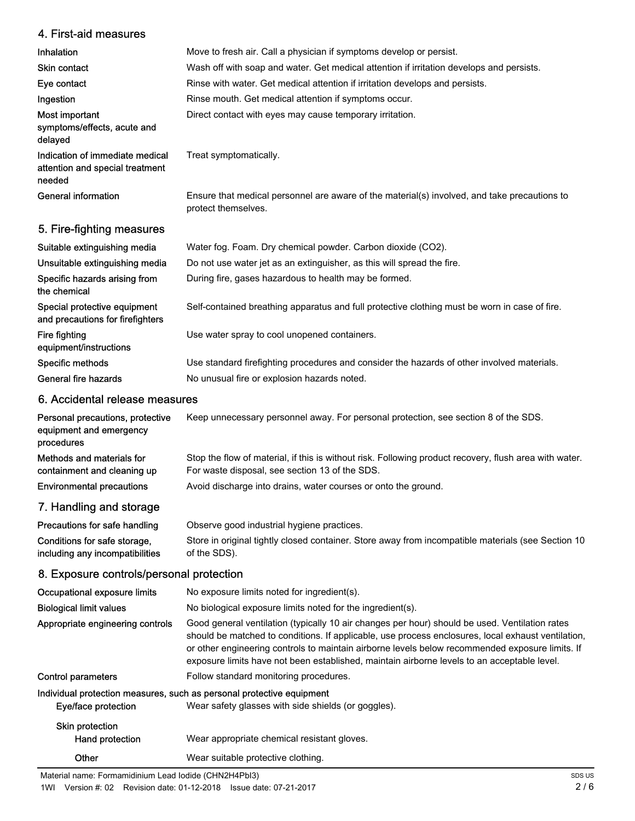# 4. First-aid measures

| Inhalation                                                                   | Move to fresh air. Call a physician if symptoms develop or persist.                                                 |
|------------------------------------------------------------------------------|---------------------------------------------------------------------------------------------------------------------|
| <b>Skin contact</b>                                                          | Wash off with soap and water. Get medical attention if irritation develops and persists.                            |
| Eye contact                                                                  | Rinse with water. Get medical attention if irritation develops and persists.                                        |
| Ingestion                                                                    | Rinse mouth. Get medical attention if symptoms occur.                                                               |
| Most important<br>symptoms/effects, acute and<br>delayed                     | Direct contact with eyes may cause temporary irritation.                                                            |
| Indication of immediate medical<br>attention and special treatment<br>needed | Treat symptomatically.                                                                                              |
| General information                                                          | Ensure that medical personnel are aware of the material(s) involved, and take precautions to<br>protect themselves. |
| 5. Fire-fighting measures                                                    |                                                                                                                     |
| Suitable extinguishing media                                                 | Water fog. Foam. Dry chemical powder. Carbon dioxide (CO2).                                                         |
|                                                                              |                                                                                                                     |

| Unsuitable extinguishing media                                   | Do not use water jet as an extinguisher, as this will spread the fire.                        |
|------------------------------------------------------------------|-----------------------------------------------------------------------------------------------|
| Specific hazards arising from<br>the chemical                    | During fire, gases hazardous to health may be formed.                                         |
| Special protective equipment<br>and precautions for firefighters | Self-contained breathing apparatus and full protective clothing must be worn in case of fire. |
| Fire fighting<br>equipment/instructions                          | Use water spray to cool unopened containers.                                                  |
| Specific methods                                                 | Use standard firefighting procedures and consider the hazards of other involved materials.    |
| General fire hazards                                             | No unusual fire or explosion hazards noted.                                                   |

# 6. Accidental release measures

| Personal precautions, protective<br>equipment and emergency<br>procedures | Keep unnecessary personnel away. For personal protection, see section 8 of the SDS.                                                                      |
|---------------------------------------------------------------------------|----------------------------------------------------------------------------------------------------------------------------------------------------------|
| Methods and materials for<br>containment and cleaning up                  | Stop the flow of material, if this is without risk. Following product recovery, flush area with water.<br>For waste disposal, see section 13 of the SDS. |
| <b>Environmental precautions</b>                                          | Avoid discharge into drains, water courses or onto the ground.                                                                                           |
| 7. Handling and storage                                                   |                                                                                                                                                          |

| Store in original tightly closed container. Store away from incompatible materials (see Section 10 |
|----------------------------------------------------------------------------------------------------|
|                                                                                                    |

# 8. Exposure controls/personal protection

| Occupational exposure limits                                          | No exposure limits noted for ingredient(s).                                                                                                                                                                                                                                                                                                                                                            |
|-----------------------------------------------------------------------|--------------------------------------------------------------------------------------------------------------------------------------------------------------------------------------------------------------------------------------------------------------------------------------------------------------------------------------------------------------------------------------------------------|
| <b>Biological limit values</b>                                        | No biological exposure limits noted for the ingredient(s).                                                                                                                                                                                                                                                                                                                                             |
| Appropriate engineering controls                                      | Good general ventilation (typically 10 air changes per hour) should be used. Ventilation rates<br>should be matched to conditions. If applicable, use process enclosures, local exhaust ventilation,<br>or other engineering controls to maintain airborne levels below recommended exposure limits. If<br>exposure limits have not been established, maintain airborne levels to an acceptable level. |
| Control parameters                                                    | Follow standard monitoring procedures.                                                                                                                                                                                                                                                                                                                                                                 |
| Individual protection measures, such as personal protective equipment |                                                                                                                                                                                                                                                                                                                                                                                                        |
| Eye/face protection                                                   | Wear safety glasses with side shields (or goggles).                                                                                                                                                                                                                                                                                                                                                    |
| Skin protection<br>Hand protection                                    | Wear appropriate chemical resistant gloves.                                                                                                                                                                                                                                                                                                                                                            |
| Other                                                                 | Wear suitable protective clothing.                                                                                                                                                                                                                                                                                                                                                                     |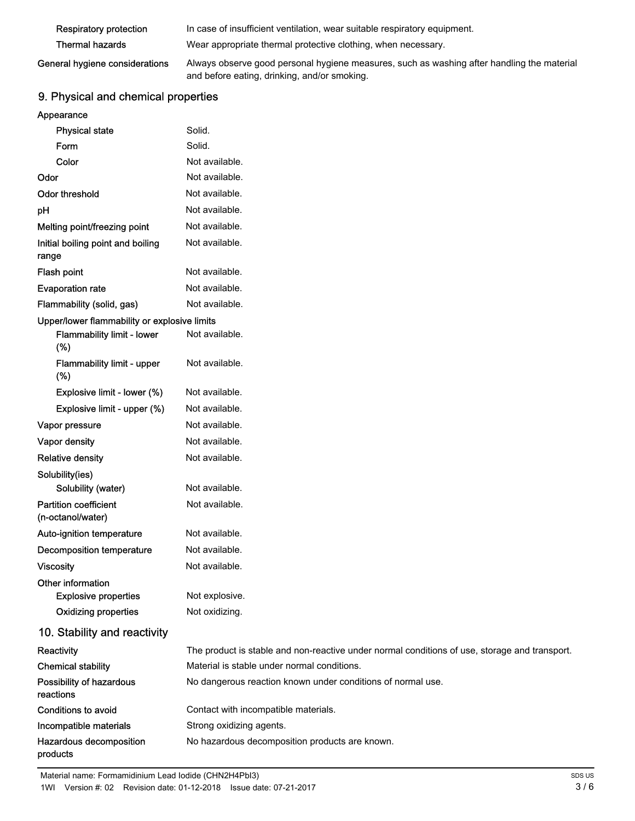| <b>Respiratory protection</b>  | In case of insufficient ventilation, wear suitable respiratory equipment.                  |
|--------------------------------|--------------------------------------------------------------------------------------------|
| Thermal hazards                | Wear appropriate thermal protective clothing, when necessary.                              |
| General hygiene considerations | Always observe good personal hygiene measures, such as washing after handling the material |

# and before eating, drinking, and/or smoking.

# 9. Physical and chemical properties

| <b>Physical state</b>                             | Solid.                                                                                        |
|---------------------------------------------------|-----------------------------------------------------------------------------------------------|
| Form                                              | Solid.                                                                                        |
| Color                                             | Not available.                                                                                |
| Odor                                              | Not available.                                                                                |
| <b>Odor threshold</b>                             | Not available.                                                                                |
| pH                                                | Not available.                                                                                |
| Melting point/freezing point                      | Not available.                                                                                |
| Initial boiling point and boiling<br>range        | Not available.                                                                                |
| <b>Flash point</b>                                | Not available.                                                                                |
| <b>Evaporation rate</b>                           | Not available.                                                                                |
| Flammability (solid, gas)                         | Not available.                                                                                |
| Upper/lower flammability or explosive limits      |                                                                                               |
| Flammability limit - lower<br>(%)                 | Not available.                                                                                |
| Flammability limit - upper<br>(% )                | Not available.                                                                                |
| Explosive limit - lower (%)                       | Not available.                                                                                |
| Explosive limit - upper (%)                       | Not available.                                                                                |
| Vapor pressure                                    | Not available.                                                                                |
| Vapor density                                     | Not available.                                                                                |
| <b>Relative density</b>                           | Not available.                                                                                |
| Solubility(ies)                                   |                                                                                               |
| Solubility (water)                                | Not available.                                                                                |
| <b>Partition coefficient</b><br>(n-octanol/water) | Not available.                                                                                |
| Auto-ignition temperature                         | Not available.                                                                                |
| <b>Decomposition temperature</b>                  | Not available.                                                                                |
| <b>Viscosity</b>                                  | Not available.                                                                                |
| Other information                                 |                                                                                               |
| <b>Explosive properties</b>                       | Not explosive.                                                                                |
| <b>Oxidizing properties</b>                       | Not oxidizing.                                                                                |
| 10. Stability and reactivity                      |                                                                                               |
| Reactivity                                        | The product is stable and non-reactive under normal conditions of use, storage and transport. |
| <b>Chemical stability</b>                         | Material is stable under normal conditions.                                                   |
| Possibility of hazardous<br>reactions             | No dangerous reaction known under conditions of normal use.                                   |
| <b>Conditions to avoid</b>                        | Contact with incompatible materials.                                                          |
| Incompatible materials                            | Strong oxidizing agents.                                                                      |
| Hazardous decomposition<br>products               | No hazardous decomposition products are known.                                                |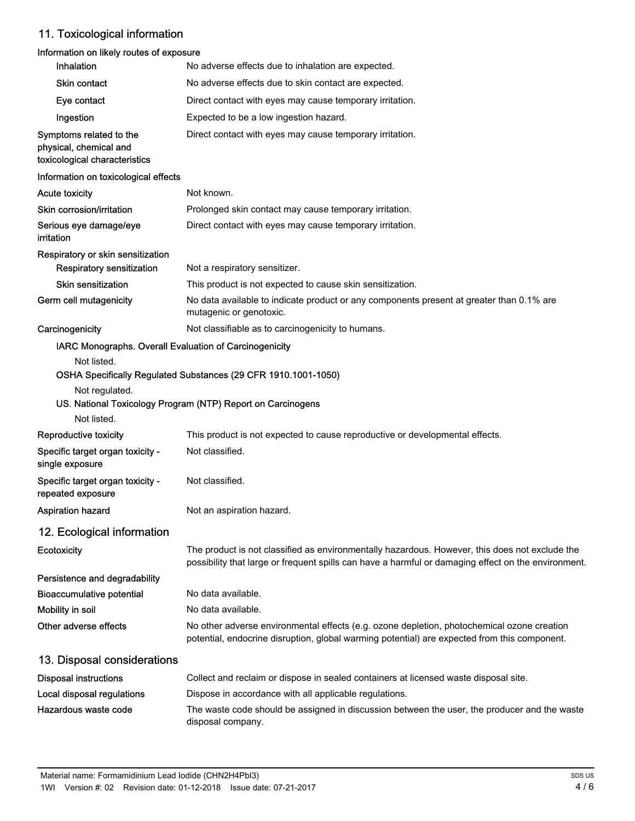# 11. Toxicological information

# Information on likely routes of exposure

| Inhalation                                                                         | No adverse effects due to inhalation are expected.                                                                                                                                                    |
|------------------------------------------------------------------------------------|-------------------------------------------------------------------------------------------------------------------------------------------------------------------------------------------------------|
| <b>Skin contact</b>                                                                | No adverse effects due to skin contact are expected.                                                                                                                                                  |
| Eye contact                                                                        | Direct contact with eyes may cause temporary irritation.                                                                                                                                              |
| Ingestion                                                                          | Expected to be a low ingestion hazard.                                                                                                                                                                |
| Symptoms related to the<br>physical, chemical and<br>toxicological characteristics | Direct contact with eyes may cause temporary irritation.                                                                                                                                              |
| Information on toxicological effects                                               |                                                                                                                                                                                                       |
| <b>Acute toxicity</b>                                                              | Not known.                                                                                                                                                                                            |
| Skin corrosion/irritation                                                          | Prolonged skin contact may cause temporary irritation.                                                                                                                                                |
| Serious eye damage/eye<br>irritation                                               | Direct contact with eyes may cause temporary irritation.                                                                                                                                              |
| Respiratory or skin sensitization                                                  |                                                                                                                                                                                                       |
| <b>Respiratory sensitization</b>                                                   | Not a respiratory sensitizer.                                                                                                                                                                         |
| <b>Skin sensitization</b>                                                          | This product is not expected to cause skin sensitization.                                                                                                                                             |
| Germ cell mutagenicity                                                             | No data available to indicate product or any components present at greater than 0.1% are<br>mutagenic or genotoxic.                                                                                   |
| Carcinogenicity                                                                    | Not classifiable as to carcinogenicity to humans.                                                                                                                                                     |
| IARC Monographs. Overall Evaluation of Carcinogenicity                             |                                                                                                                                                                                                       |
| Not listed.                                                                        | OSHA Specifically Regulated Substances (29 CFR 1910.1001-1050)                                                                                                                                        |
| Not regulated.                                                                     | US. National Toxicology Program (NTP) Report on Carcinogens                                                                                                                                           |
| Not listed.                                                                        |                                                                                                                                                                                                       |
| Reproductive toxicity                                                              | This product is not expected to cause reproductive or developmental effects.<br>Not classified.                                                                                                       |
| Specific target organ toxicity -<br>single exposure                                |                                                                                                                                                                                                       |
| Specific target organ toxicity -<br>repeated exposure                              | Not classified.                                                                                                                                                                                       |
| <b>Aspiration hazard</b>                                                           | Not an aspiration hazard.                                                                                                                                                                             |
| 12. Ecological information                                                         |                                                                                                                                                                                                       |
| Ecotoxicity                                                                        | The product is not classified as environmentally hazardous. However, this does not exclude the<br>possibility that large or frequent spills can have a harmful or damaging effect on the environment. |
| Persistence and degradability                                                      |                                                                                                                                                                                                       |
| <b>Bioaccumulative potential</b>                                                   | No data available.                                                                                                                                                                                    |
| Mobility in soil                                                                   | No data available.                                                                                                                                                                                    |
| Other adverse effects                                                              | No other adverse environmental effects (e.g. ozone depletion, photochemical ozone creation<br>potential, endocrine disruption, global warming potential) are expected from this component.            |
| 13. Disposal considerations                                                        |                                                                                                                                                                                                       |
| <b>Disposal instructions</b>                                                       | Collect and reclaim or dispose in sealed containers at licensed waste disposal site.                                                                                                                  |
| Local disposal regulations                                                         | Dispose in accordance with all applicable regulations.                                                                                                                                                |
| Hazardous waste code                                                               | The waste code should be assigned in discussion between the user, the producer and the waste<br>disposal company.                                                                                     |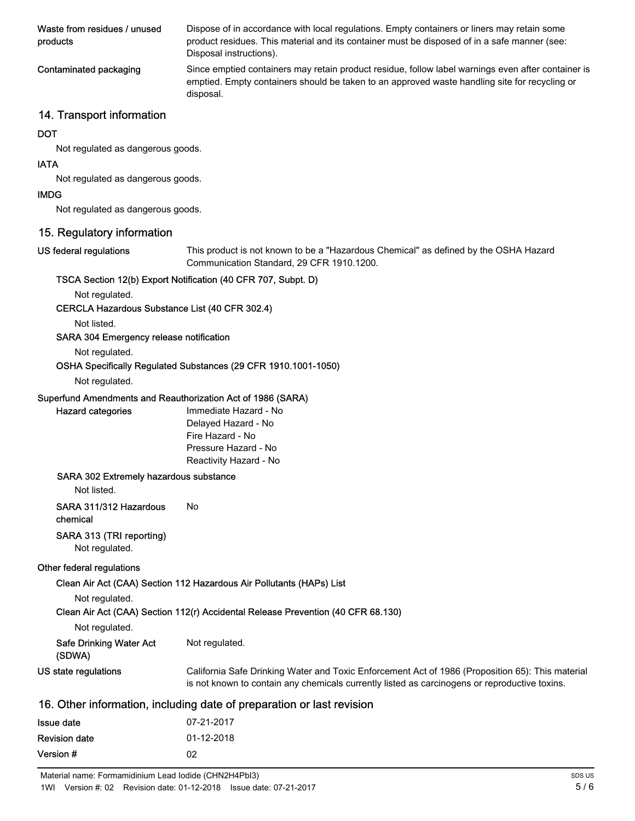| Waste from residues / unused<br>products | Dispose of in accordance with local regulations. Empty containers or liners may retain some<br>product residues. This material and its container must be disposed of in a safe manner (see:<br>Disposal instructions). |
|------------------------------------------|------------------------------------------------------------------------------------------------------------------------------------------------------------------------------------------------------------------------|
| Contaminated packaging                   | Since emptied containers may retain product residue, follow label warnings even after container is<br>emptied. Empty containers should be taken to an approved waste handling site for recycling or<br>disposal.       |

## 14. Transport information

#### **DOT**

Not regulated as dangerous goods.

#### IATA

Not regulated as dangerous goods.

#### IMDG

Not regulated as dangerous goods.

## 15. Regulatory information

## US federal regulations

This product is not known to be a "Hazardous Chemical" as defined by the OSHA Hazard Communication Standard, 29 CFR 1910.1200.

#### TSCA Section 12(b) Export Notification (40 CFR 707, Subpt. D)

Not regulated.

#### CERCLA Hazardous Substance List (40 CFR 302.4)

Not listed.

#### SARA 304 Emergency release notification

Not regulated.

## OSHA Specifically Regulated Substances (29 CFR 1910.1001-1050)

## Not regulated.

Hazard categories

#### Superfund Amendments and Reauthorization Act of 1986 (SARA)

| Immediate Hazard - No  |
|------------------------|
| Delayed Hazard - No    |
| Fire Hazard - No       |
| Pressure Hazard - No   |
| Reactivity Hazard - No |

#### SARA 302 Extremely hazardous substance

Not listed.

## SARA 311/312 Hazardous No

chemical

## SARA 313 (TRI reporting)

Not regulated.

#### Other federal regulations

Clean Air Act (CAA) Section 112 Hazardous Air Pollutants (HAPs) List

Not regulated.

Clean Air Act (CAA) Section 112(r) Accidental Release Prevention (40 CFR 68.130)

| Not regulated. |
|----------------|
|----------------|

| <b>Safe Drinking Water Act</b> | Not regulated. |
|--------------------------------|----------------|
|--------------------------------|----------------|

(SDWA)

| US state regulations | California Safe Drinking Water and Toxic Enforcement Act of 1986 (Proposition 65): This material |
|----------------------|--------------------------------------------------------------------------------------------------|
|                      | is not known to contain any chemicals currently listed as carcinogens or reproductive toxins.    |

## 16. Other information, including date of preparation or last revision

| Issue date           | 07-21-2017 |
|----------------------|------------|
| <b>Revision date</b> | 01-12-2018 |
| Version #            | 02         |